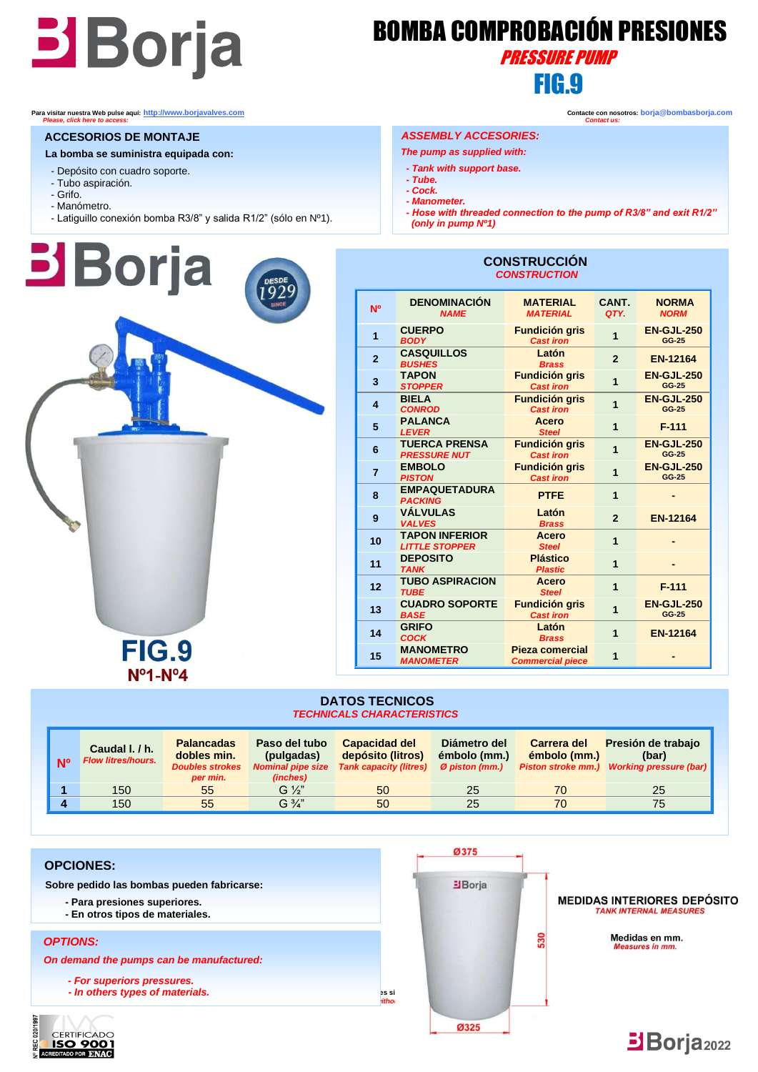## Borja BOMBA COMPROBACIÓN PRESIONES **FIG.9 FIG.9**

## PRESSURE PUMP

#### **ACCESORIOS DE MONTAJE**

- **La bomba se suministra equipada con:**
- Depósito con cuadro soporte.
- Tubo aspiración.
- Grifo. - Manómetro.
- Latiguillo conexión bomba R3/8" y salida R1/2" (sólo en Nº1).



### **Para visitar nuestra Web pulse aquí: [http://www.borjavalves.com](http://www.borjavalves.com/) Contacte con nosotros: borja@bombasborja.com**  *Please, click here to access: Contact us:*

#### *ASSEMBLY ACCESORIES:*

- *The pump as supplied with:*
- *- Tank with support base. - Tube.*
- *- Cock.*
- *- Manometer.*
- *- Hose with threaded connection to the pump of R3/8" and exit R1/2" (only in pump Nº1)*

 **CONSTRUCCIÓN**

| <b>CONSTRUCTION</b>     |                                                |                                            |                |                             |  |  |  |
|-------------------------|------------------------------------------------|--------------------------------------------|----------------|-----------------------------|--|--|--|
| N <sup>o</sup>          | <b>DENOMINACIÓN</b><br><b>NAME</b>             | <b>MATERIAL</b><br><b>MATERIAL</b>         | CANT.<br>QTY.  | <b>NORMA</b><br><b>NORM</b> |  |  |  |
| 1                       | <b>CUERPO</b><br><b>BODY</b>                   | <b>Fundición gris</b><br><b>Cast iron</b>  | 1              | <b>EN-GJL-250</b><br>GG-25  |  |  |  |
| $\overline{2}$          | <b>CASQUILLOS</b><br><b>BUSHES</b>             | Latón<br><b>Brass</b>                      | $\overline{2}$ | <b>EN-12164</b>             |  |  |  |
| 3                       | <b>TAPON</b><br><b>STOPPER</b>                 | <b>Fundición gris</b><br><b>Cast iron</b>  | $\overline{1}$ | <b>EN-GJL-250</b><br>GG-25  |  |  |  |
| $\overline{\mathbf{4}}$ | <b>BIELA</b><br><b>CONROD</b>                  | <b>Fundición gris</b><br><b>Cast iron</b>  | $\overline{1}$ | <b>EN-GJL-250</b><br>GG-25  |  |  |  |
| 5                       | <b>PALANCA</b><br><b>LEVER</b>                 | <b>Acero</b><br><b>Steel</b>               | $\overline{1}$ | $F-111$                     |  |  |  |
| 6                       | <b>TUERCA PRENSA</b><br><b>PRESSURE NUT</b>    | <b>Fundición gris</b><br><b>Cast iron</b>  | 1              | <b>EN-GJL-250</b><br>GG-25  |  |  |  |
| $\overline{7}$          | <b>EMBOLO</b><br><b>PISTON</b>                 | <b>Fundición gris</b><br><b>Cast iron</b>  | 1              | <b>EN-GJL-250</b><br>GG-25  |  |  |  |
| 8                       | <b>EMPAQUETADURA</b><br><b>PACKING</b>         | <b>PTFE</b>                                | $\overline{1}$ |                             |  |  |  |
| 9                       | <b>VÁLVULAS</b><br><b>VALVES</b>               | Latón<br><b>Brass</b>                      | $\overline{2}$ | <b>EN-12164</b>             |  |  |  |
| 10                      | <b>TAPON INFERIOR</b><br><b>LITTLE STOPPER</b> | <b>Acero</b><br><b>Steel</b>               | $\overline{1}$ |                             |  |  |  |
| 11                      | <b>DEPOSITO</b><br><b>TANK</b>                 | <b>Plástico</b><br><b>Plastic</b>          | 1              |                             |  |  |  |
| 12                      | <b>TUBO ASPIRACION</b><br><b>TUBE</b>          | Acero<br><b>Steel</b>                      | $\overline{1}$ | $F-111$                     |  |  |  |
| 13                      | <b>CUADRO SOPORTE</b><br><b>BASE</b>           | <b>Fundición gris</b><br><b>Cast iron</b>  | $\overline{1}$ | <b>EN-GJL-250</b><br>GG-25  |  |  |  |
| 14                      | <b>GRIFO</b><br><b>COCK</b>                    | Latón<br><b>Brass</b>                      | 1              | <b>EN-12164</b>             |  |  |  |
| 15                      | <b>MANOMETRO</b><br><b>MANOMETER</b>           | Pieza comercial<br><b>Commercial piece</b> | 1              |                             |  |  |  |

#### **DATOS TECNICOS** *TECHNICALS CHARACTERISTICS*

| <b>N<sub>0</sub></b> | Caudal I. / h.<br><b>Flow litres/hours.</b> | <b>Palancadas</b><br>dobles min.<br><b>Doubles strokes</b><br>per min. | Paso del tubo<br>(pulgadas)<br><b>Nominal pipe size</b><br>(inches) | <b>Capacidad del</b><br>depósito (litros)<br><b>Tank capacity (litres)</b> | Diámetro del<br>émbolo (mm.)<br>Ø piston (mm.) | Carrera del<br>émbolo (mm.)<br><b>Piston stroke mm.)</b> | Presión de trabajo<br>(bar)<br><b>Working pressure (bar)</b> |
|----------------------|---------------------------------------------|------------------------------------------------------------------------|---------------------------------------------------------------------|----------------------------------------------------------------------------|------------------------------------------------|----------------------------------------------------------|--------------------------------------------------------------|
|                      | 150                                         | 55                                                                     | $G\frac{1}{2}$                                                      | 50                                                                         | 25                                             | 70                                                       | 25                                                           |
|                      | 150                                         | 55                                                                     | $G\frac{3}{4}$                                                      | 50                                                                         | 25                                             | 70                                                       | 75                                                           |



 **Sobre pedido las bombas pueden fabricarse:**

- **- Para presiones superiores.**
- **- En otros tipos de materiales.**

#### *OPTIONS:*

 *On demand the pumps can be manufactured:*

 *- For superiors pressures.*